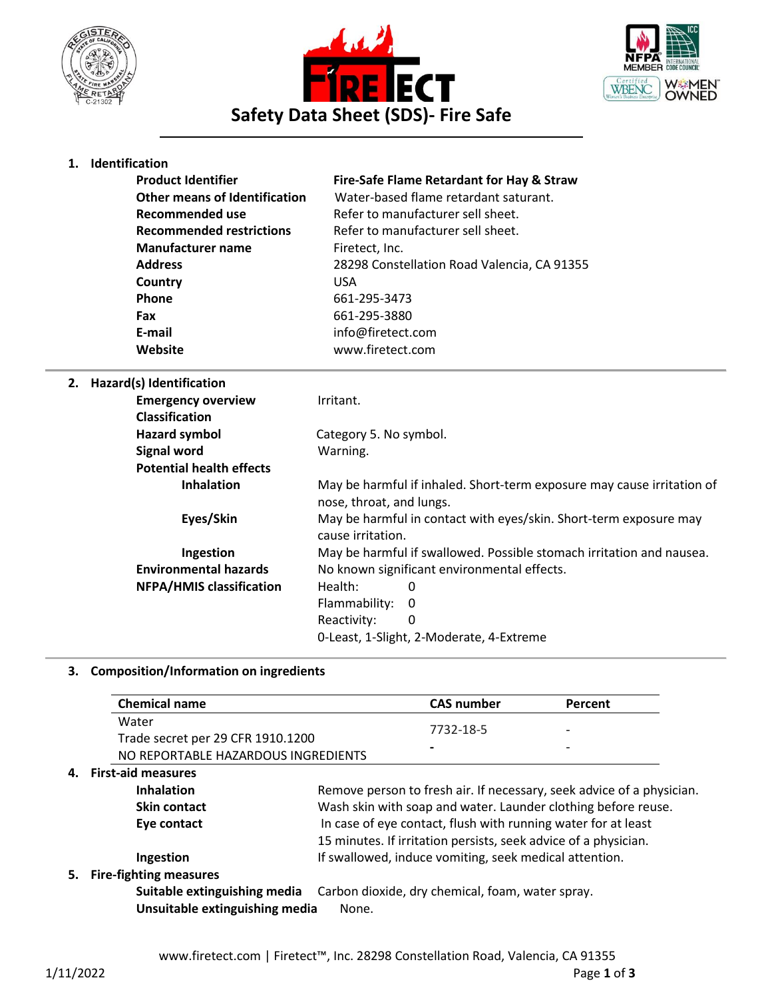





## **1. Identification**

| <b>Product Identifier</b>            | Fire-Safe Flame Retardant for Hay & Straw   |
|--------------------------------------|---------------------------------------------|
| <b>Other means of Identification</b> | Water-based flame retardant saturant.       |
| Recommended use                      | Refer to manufacturer sell sheet.           |
| <b>Recommended restrictions</b>      | Refer to manufacturer sell sheet.           |
| <b>Manufacturer name</b>             | Firetect, Inc.                              |
| <b>Address</b>                       | 28298 Constellation Road Valencia, CA 91355 |
| Country                              | USA                                         |
| <b>Phone</b>                         | 661-295-3473                                |
| Fax                                  | 661-295-3880                                |
| E-mail                               | info@firetect.com                           |
| Website                              | www.firetect.com                            |
|                                      |                                             |

# **2. Hazard(s) Identification**

| ulai iuciitiitution             |                                                                                                    |  |
|---------------------------------|----------------------------------------------------------------------------------------------------|--|
| <b>Emergency overview</b>       | Irritant.                                                                                          |  |
| <b>Classification</b>           |                                                                                                    |  |
| <b>Hazard symbol</b>            | Category 5. No symbol.                                                                             |  |
| <b>Signal word</b>              | Warning.                                                                                           |  |
| <b>Potential health effects</b> |                                                                                                    |  |
| <b>Inhalation</b>               | May be harmful if inhaled. Short-term exposure may cause irritation of<br>nose, throat, and lungs. |  |
| Eyes/Skin                       | May be harmful in contact with eyes/skin. Short-term exposure may<br>cause irritation.             |  |
| Ingestion                       | May be harmful if swallowed. Possible stomach irritation and nausea.                               |  |
| <b>Environmental hazards</b>    | No known significant environmental effects.                                                        |  |
| <b>NFPA/HMIS classification</b> | Health:<br>0                                                                                       |  |
|                                 | Flammability:<br>0                                                                                 |  |
|                                 | Reactivity:<br>0                                                                                   |  |
|                                 | 0-Least, 1-Slight, 2-Moderate, 4-Extreme                                                           |  |
|                                 |                                                                                                    |  |

## **3. Composition/Information on ingredients**

| <b>CAS number</b> | Percent   |
|-------------------|-----------|
|                   | -         |
|                   |           |
|                   | -         |
|                   | 7732-18-5 |

### **4. First-aid measures**

**Inhalation** Remove person to fresh air. If necessary, seek advice of a physician. **Skin contact** Wash skin with soap and water. Launder clothing before reuse. **Eye contact** In case of eye contact, flush with running water for at least 15 minutes. If irritation persists, seek advice of a physician. **Ingestion** If swallowed, induce vomiting, seek medical attention.

### **5. Fire-fighting measures**

**Suitable extinguishing media** Carbon dioxide, dry chemical, foam, water spray. **Unsuitable extinguishing media** None.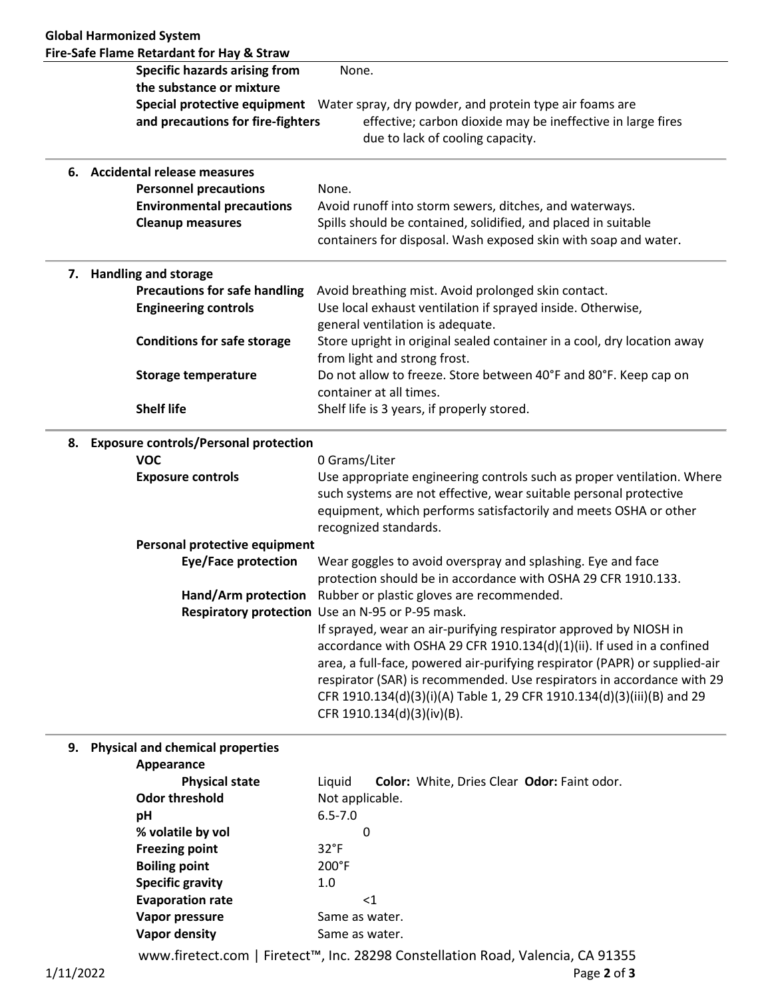|    | Fire-Safe Flame Retardant for Hay & Straw |                                                                                                                                                                                                                                                                                                                                                                                                            |
|----|-------------------------------------------|------------------------------------------------------------------------------------------------------------------------------------------------------------------------------------------------------------------------------------------------------------------------------------------------------------------------------------------------------------------------------------------------------------|
|    | <b>Specific hazards arising from</b>      | None.                                                                                                                                                                                                                                                                                                                                                                                                      |
|    | the substance or mixture                  |                                                                                                                                                                                                                                                                                                                                                                                                            |
|    |                                           | Special protective equipment  Water spray, dry powder, and protein type air foams are                                                                                                                                                                                                                                                                                                                      |
|    | and precautions for fire-fighters         | effective; carbon dioxide may be ineffective in large fires<br>due to lack of cooling capacity.                                                                                                                                                                                                                                                                                                            |
|    | 6. Accidental release measures            |                                                                                                                                                                                                                                                                                                                                                                                                            |
|    | <b>Personnel precautions</b>              | None.                                                                                                                                                                                                                                                                                                                                                                                                      |
|    | <b>Environmental precautions</b>          | Avoid runoff into storm sewers, ditches, and waterways.                                                                                                                                                                                                                                                                                                                                                    |
|    | <b>Cleanup measures</b>                   | Spills should be contained, solidified, and placed in suitable                                                                                                                                                                                                                                                                                                                                             |
|    |                                           | containers for disposal. Wash exposed skin with soap and water.                                                                                                                                                                                                                                                                                                                                            |
| 7. | <b>Handling and storage</b>               |                                                                                                                                                                                                                                                                                                                                                                                                            |
|    | <b>Precautions for safe handling</b>      | Avoid breathing mist. Avoid prolonged skin contact.                                                                                                                                                                                                                                                                                                                                                        |
|    | <b>Engineering controls</b>               | Use local exhaust ventilation if sprayed inside. Otherwise,                                                                                                                                                                                                                                                                                                                                                |
|    |                                           | general ventilation is adequate.                                                                                                                                                                                                                                                                                                                                                                           |
|    | <b>Conditions for safe storage</b>        | Store upright in original sealed container in a cool, dry location away<br>from light and strong frost.                                                                                                                                                                                                                                                                                                    |
|    | <b>Storage temperature</b>                | Do not allow to freeze. Store between 40°F and 80°F. Keep cap on                                                                                                                                                                                                                                                                                                                                           |
|    |                                           | container at all times.                                                                                                                                                                                                                                                                                                                                                                                    |
|    | <b>Shelf life</b>                         | Shelf life is 3 years, if properly stored.                                                                                                                                                                                                                                                                                                                                                                 |
|    | 8. Exposure controls/Personal protection  |                                                                                                                                                                                                                                                                                                                                                                                                            |
|    | <b>VOC</b>                                | 0 Grams/Liter                                                                                                                                                                                                                                                                                                                                                                                              |
|    | <b>Exposure controls</b>                  | Use appropriate engineering controls such as proper ventilation. Where<br>such systems are not effective, wear suitable personal protective<br>equipment, which performs satisfactorily and meets OSHA or other<br>recognized standards.                                                                                                                                                                   |
|    | Personal protective equipment             |                                                                                                                                                                                                                                                                                                                                                                                                            |
|    | Eye/Face protection                       | Wear goggles to avoid overspray and splashing. Eye and face<br>protection should be in accordance with OSHA 29 CFR 1910.133.                                                                                                                                                                                                                                                                               |
|    |                                           | Hand/Arm protection Rubber or plastic gloves are recommended.                                                                                                                                                                                                                                                                                                                                              |
|    |                                           | Respiratory protection Use an N-95 or P-95 mask.                                                                                                                                                                                                                                                                                                                                                           |
|    |                                           | If sprayed, wear an air-purifying respirator approved by NIOSH in<br>accordance with OSHA 29 CFR 1910.134(d)(1)(ii). If used in a confined<br>area, a full-face, powered air-purifying respirator (PAPR) or supplied-air<br>respirator (SAR) is recommended. Use respirators in accordance with 29<br>CFR 1910.134(d)(3)(i)(A) Table 1, 29 CFR 1910.134(d)(3)(iii)(B) and 29<br>CFR 1910.134(d)(3)(iv)(B). |
|    | Dhucical and chamical proportion          |                                                                                                                                                                                                                                                                                                                                                                                                            |

**9. Physical and chemical properties Appearance**

| <b>ANNCAIGHLE</b>       |                                                       |
|-------------------------|-------------------------------------------------------|
| <b>Physical state</b>   | Color: White, Dries Clear Odor: Faint odor.<br>Liquid |
| <b>Odor threshold</b>   | Not applicable.                                       |
| рH                      | $6.5 - 7.0$                                           |
| % volatile by vol       | 0                                                     |
| <b>Freezing point</b>   | $32^{\circ}F$                                         |
| <b>Boiling point</b>    | $200^{\circ}$ F                                       |
| <b>Specific gravity</b> | 1.0                                                   |
| <b>Evaporation rate</b> | <1                                                    |
| Vapor pressure          | Same as water.                                        |
| Vapor density           | Same as water.                                        |
|                         |                                                       |

www.firetect.com | Firetect™, Inc. 28298 Constellation Road, Valencia, CA 91355